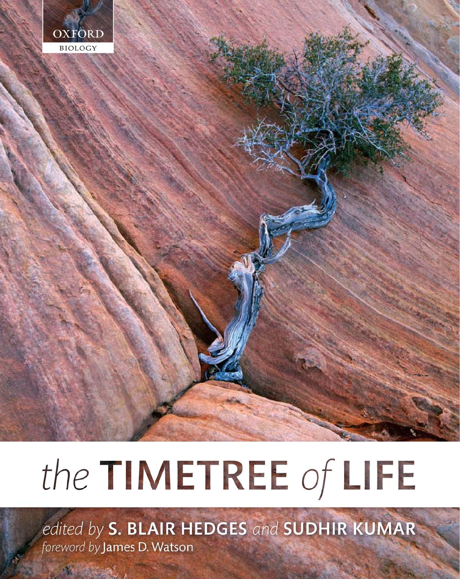

# the TIMETREE of LIFE

edited by S. BLAIR HEDGES and SUDHIR KUMAR foreword by James D. Watson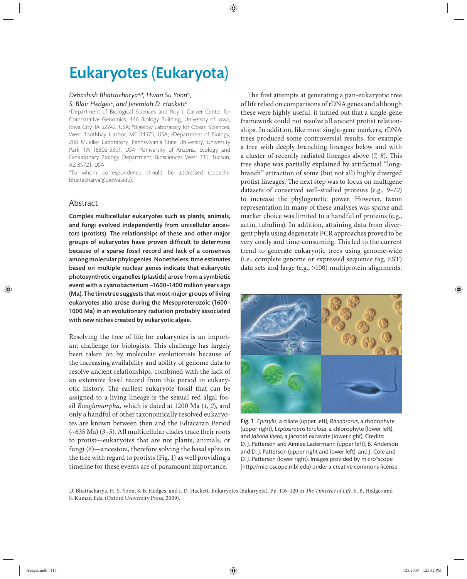# Eukaryotes (Eukaryota)

### *Debashish Bhattacharya*a,*\*, Hwan Su Yoon*<sup>b</sup>*,*  5. Blair Hedges<sup>c</sup>, and Jeremiah D. Hackett<sup>d</sup>

a Department of Biological Sciences and Roy J. Carver Center for Comparative Genomics, 446 Biology Building, University of Iowa, lowa City, IA 52242, USA; bBigelow Laboratory for Ocean Sciences, West Boothbay Harbor, ME 04575, USA; <sup>c</sup>Department of Biology, 208 Mueller Laboratory, Pennsylvania State University, University Park, PA 16802-5301, USA; <sup>d</sup>University of Arizona, Ecology and Evolutionary Biology Department, Biosciences West 336, Tucson, AZ 85721, USA

\*To whom correspondence should be addressed (debashi bhattacharya@uiowa.edu).

# Abstract

Complex multicellular eukaryotes such as plants, animals, and fungi evolved independently from unicellular ancestors (protists). The relationships of these and other major groups of eukaryotes have proven difficult to determine because of a sparse fossil record and lack of a consensus among molecular phylogenies. Nonetheless, time estimates based on multiple nuclear genes indicate that eukaryotic photosynthetic organelles (plastids) arose from a symbiotic event with a cyanobacterium ~1600–1400 million years ago (Ma). The timetree suggests that most major groups of living eukaryotes also arose during the Mesoproterozoic (1600– 1000 Ma) in an evolutionary radiation probably associated with new niches created by eukaryotic algae.

Resolving the tree of life for eukaryotes is an important challenge for biologists. This challenge has largely been taken on by molecular evolutionists because of the increasing availability and ability of genome data to resolve ancient relationships, combined with the lack of an extensive fossil record from this period in eukaryotic history. The earliest eukaryote fossil that can be assigned to a living lineage is the sexual red algal fossil *Bangiomorpha,* which is dated at 1200 Ma (*1, 2*), and only a handful of other taxonomically resolved eukaryotes are known between then and the Ediacaran Period (~635 Ma) (*3–5*). All multicellular clades trace their roots to protist—eukaryotes that are not plants, animals, or fungi (*6*)—ancestors, therefore solving the basal splits in the tree with regard to protists (Fig. 1) as well providing a timeline for these events are of paramount importance.

The first attempts at generating a pan-eukaryotic tree of life relied on comparisons of rDNA genes and although these were highly useful, it turned out that a single-gene framework could not resolve all ancient protist relationships. In addition, like most single-gene markers, rDNA trees produced some controversial results, for example a tree with deeply branching lineages below and with a cluster of recently radiated lineages above (7, 8). This tree shape was partially explained by artifactual "longbranch" attraction of some (but not all) highly diverged protist lineages. The next step was to focus on multigene datasets of conserved well-studied proteins (e.g., *9–12*) to increase the phylogenetic power. However, taxon representation in many of these analyses was sparse and marker choice was limited to a handful of proteins (e.g., actin, tubulins). In addition, attaining data from divergent phyla using degenerate PCR approaches proved to be very costly and time-consuming. This led to the current trend to generate eukaryotic trees using genome-wide (i.e., complete genome or expressed sequence tag, EST) data sets and large (e.g., >100) multiprotein alignments.



Fig. 1 *Epistylis*, a ciliate (upper left), *Rhodosorus*, a rhodophyte (upper right), *Leptosiropsis torulosa*, a chlorophyte (lower left), and *Jakoba ibera*, a jacobid excavate (lower right). Credits: D. J. Patterson and Aimlee Ladermann (upper left); B. Anderson and D. J. Patterson (upper right and lower left); and J. Cole and D. J. Patterson (lower right). Images provided by micro\*scope (http://microscope.mbl.edu) under a creative commons license.

D. Bhattacharya, H. S. Yoon, S. B. Hedges, and J. D. Hackett. Eukaryotes (Eukaryota). Pp. 116-120 in *The Timetree of Life*, S. B. Hedges and S. Kumar, Eds. (Oxford University Press, 2009).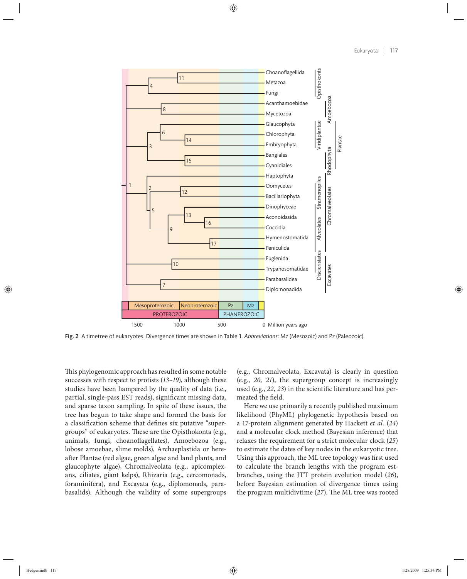

Fig. 2 A timetree of eukaryotes. Divergence times are shown in Table 1. *Abbreviations*: Mz (Mesozoic) and Pz (Paleozoic).

This phylogenomic approach has resulted in some notable successes with respect to protists (*13–19*), although these studies have been hampered by the quality of data (i.e., partial, single-pass EST reads), significant missing data, and sparse taxon sampling. In spite of these issues, the tree has begun to take shape and formed the basis for a classification scheme that defines six putative "supergroups" of eukaryotes. These are the Opisthokonta (e.g., animals, fungi, choanoflagellates), Amoebozoa (e.g., lobose amoebae, slime molds), Archaeplastida or hereafter Plantae (red algae, green algae and land plants, and glaucophyte algae), Chromalveolata (e.g., apicomplexans, ciliates, giant kelps), Rhizaria (e.g., cercomonads, foraminifera), and Excavata (e.g., diplomonads, parabasalids). Although the validity of some supergroups (e.g., Chromalveolata, Excavata) is clearly in question (e.g., 20, 21), the supergroup concept is increasingly used (e.g., 22, 23) in the scientific literature and has permeated the field.

Here we use primarily a recently published maximum likelihood (PhyML) phylogenetic hypothesis based on a 17-protein alignment generated by Hackett *et al.* (*24*) and a molecular clock method (Bayesian inference) that relaxes the requirement for a strict molecular clock (*25*) to estimate the dates of key nodes in the eukaryotic tree. Using this approach, the ML tree topology was first used to calculate the branch lengths with the program estbranches, using the JTT protein evolution model (26), before Bayesian estimation of divergence times using the program multidivtime (27). The ML tree was rooted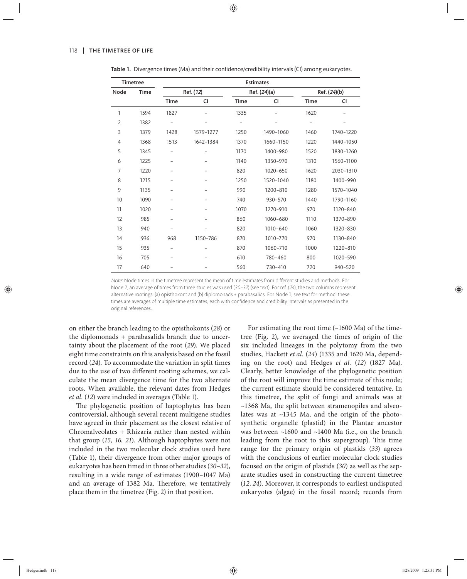| <b>Timetree</b> |      | <b>Estimates</b> |                          |              |           |              |           |
|-----------------|------|------------------|--------------------------|--------------|-----------|--------------|-----------|
| Node            | Time | Ref. (12)        |                          | Ref. (24)(a) |           | Ref. (24)(b) |           |
|                 |      | Time             | CI                       | <b>Time</b>  | CI        | <b>Time</b>  | CI        |
| 1               | 1594 | 1827             |                          | 1335         |           | 1620         |           |
| $\overline{2}$  | 1382 |                  |                          |              |           |              |           |
| 3               | 1379 | 1428             | 1579-1277                | 1250         | 1490-1060 | 1460         | 1740-1220 |
| $\overline{4}$  | 1368 | 1513             | 1642-1384                | 1370         | 1660-1150 | 1220         | 1440-1050 |
| 5               | 1345 |                  |                          | 1170         | 1400-980  | 1520         | 1830-1260 |
| 6               | 1225 |                  |                          | 1140         | 1350-970  | 1310         | 1560-1100 |
| 7               | 1220 |                  | -                        | 820          | 1020-650  | 1620         | 2030-1310 |
| 8               | 1215 |                  | $\overline{\phantom{0}}$ | 1250         | 1520-1040 | 1180         | 1400-990  |
| 9               | 1135 |                  |                          | 990          | 1200-810  | 1280         | 1570-1040 |
| 10              | 1090 |                  |                          | 740          | 930-570   | 1440         | 1790-1160 |
| 11              | 1020 |                  |                          | 1070         | 1270-910  | 970          | 1120-840  |
| 12              | 985  |                  |                          | 860          | 1060-680  | 1110         | 1370-890  |
| 13              | 940  |                  |                          | 820          | 1010-640  | 1060         | 1320-830  |
| 14              | 936  | 968              | 1150-786                 | 870          | 1010-770  | 970          | 1130-840  |
| 15              | 935  |                  |                          | 870          | 1060-710  | 1000         | 1220-810  |
| 16              | 705  |                  |                          | 610          | 780-460   | 800          | 1020-590  |
| 17              | 640  |                  |                          | 560          | 730-410   | 720          | 940-520   |

Table 1. Divergence times (Ma) and their confidence/credibility intervals (CI) among eukaryotes.

Note: Node times in the timetree represent the mean of time estimates from different studies and methods. For Node 2, an average of times from three studies was used (30-32) (see text). For ref. (24), the two columns represent alternative rootings: (a) opisthokont and (b) diplomonads + parabasalids. For Node 1, see text for method; these times are averages of multiple time estimates, each with confidence and credibility intervals as presented in the original references.

on either the branch leading to the opisthokonts (*28*) or the diplomonads + parabasalids branch due to uncertainty about the placement of the root (*29*). We placed eight time constraints on this analysis based on the fossil record (*24*). To accommodate the variation in split times due to the use of two different rooting schemes, we calculate the mean divergence time for the two alternate roots. When available, the relevant dates from Hedges *et al.* (*12*) were included in averages (Table 1).

The phylogenetic position of haptophytes has been controversial, although several recent multigene studies have agreed in their placement as the closest relative of Chromalveolates + Rhizaria rather than nested within that group (*15, 16, 21*). Although haptophytes were not included in the two molecular clock studies used here (Table 1), their divergence from other major groups of eukaryotes has been timed in three other studies (*30–32*), resulting in a wide range of estimates (1900–1047 Ma) and an average of 1382 Ma. Therefore, we tentatively place them in the timetree (Fig. 2) in that position.

For estimating the root time (~1600 Ma) of the timetree (Fig. 2), we averaged the times of origin of the six included lineages in the polytomy from the two studies, Hackett *et al.* (*24*) (1335 and 1620 Ma, depending on the root) and Hedges *et al.* (*12*) (1827 Ma). Clearly, better knowledge of the phylogenetic position of the root will improve the time estimate of this node; the current estimate should be considered tentative. In this timetree, the split of fungi and animals was at ~1368 Ma, the split between stramenopiles and alveolates was at ~1345 Ma, and the origin of the photosynthetic organelle (plastid) in the Plantae ancestor was between ~1600 and ~1400 Ma (i.e., on the branch leading from the root to this supergroup). This time range for the primary origin of plastids (*33*) agrees with the conclusions of earlier molecular clock studies focused on the origin of plastids (*30*) as well as the separate studies used in constructing the current timetree (*12, 24*). Moreover, it corresponds to earliest undisputed eu karyotes (algae) in the fossil record; records from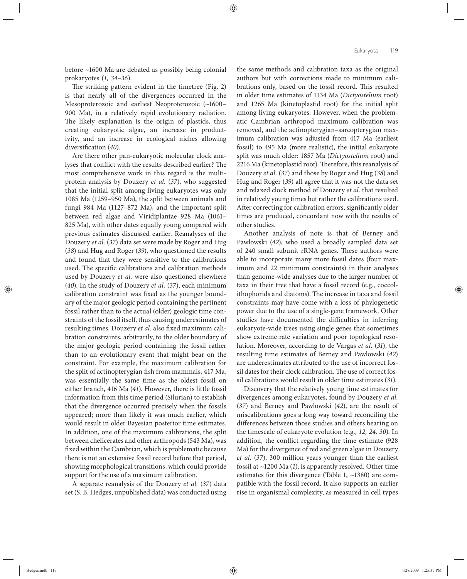before ~1600 Ma are debated as possibly being colonial prokaryotes (*1, 34–36*).

The striking pattern evident in the timetree (Fig. 2) is that nearly all of the divergences occurred in the Mesoproterozoic and earliest Neoproterozoic (~1600– 900 Ma), in a relatively rapid evolutionary radiation. The likely explanation is the origin of plastids, thus creating eukaryotic algae, an increase in productivity, and an increase in ecological niches allowing diversification (40).

Are there other pan-eukaryotic molecular clock analyses that conflict with the results described earlier? The most comprehensive work in this regard is the multiprotein analysis by Douzery et al. (37), who suggested that the initial split among living eukaryotes was only 1085 Ma (1259–950 Ma), the split between animals and fungi 984 Ma (1127–872 Ma), and the important split between red algae and Viridiplantae 928 Ma (1061– 825 Ma), with other dates equally young compared with previous estimates discussed earlier. Reanalyses of the Douzery *et al.* (*37*) data set were made by Roger and Hug (*38*) and Hug and Roger (*39*), who questioned the results and found that they were sensitive to the calibrations used. The specific calibrations and calibration methods used by Douzery et al. were also questioned elsewhere (*40*). In the study of Douzery *et al.* (*37*), each minimum calibration constraint was fixed as the younger boundary of the major geologic period containing the pertinent fossil rather than to the actual (older) geologic time constraints of the fossil itself, thus causing underestimates of resulting times. Douzery *et al.* also fixed maximum calibration constraints, arbitrarily, to the older boundary of the major geologic period containing the fossil rather than to an evolutionary event that might bear on the constraint. For example, the maximum calibration for the split of actinopterygian fish from mammals, 417 Ma, was essentially the same time as the oldest fossil on either branch, 416 Ma (*41*). However, there is little fossil information from this time period (Silurian) to establish that the divergence occurred precisely when the fossils appeared; more than likely it was much earlier, which would result in older Bayesian posterior time estimates. In addition, one of the maximum calibrations, the split between chelicerates and other arthropods (543 Ma), was fixed within the Cambrian, which is problematic because there is not an extensive fossil record before that period, showing morphological transitions, which could provide support for the use of a maximum calibration.

A separate reanalysis of the Douzery *et al.* (*37*) data set (S. B. Hedges, unpublished data) was conducted using the same methods and calibration taxa as the original authors but with corrections made to minimum calibrations only, based on the fossil record. This resulted in older time estimates of 1134 Ma (*Dictyostelium* root) and 1265 Ma (kinetoplastid root) for the initial split among living eukaryotes. However, when the problematic Cambrian arthropod maximum calibration was removed, and the actinopterygian–sarcopterygian maximum calibration was adjusted from 417 Ma (earliest fossil) to 495 Ma (more realistic), the initial eukaryote split was much older: 1857 Ma (*Dictyostelium* root) and 2216 Ma (kinetoplastid root). Therefore, this reanalysis of Douzery *et al.* (*37*) and those by Roger and Hug (*38*) and Hug and Roger (*39*) all agree that it was not the data set and relaxed clock method of Douzery *et al.* that resulted in relatively young times but rather the calibrations used. After correcting for calibration errors, significantly older times are produced, concordant now with the results of other studies.

Another analysis of note is that of Berney and Pawlowski (*42*), who used a broadly sampled data set of 240 small subunit rRNA genes. These authors were able to incorporate many more fossil dates (four maximum and 22 minimum constraints) in their analyses than genome-wide analyses due to the larger number of taxa in their tree that have a fossil record (e.g., coccolithophorids and diatoms). The increase in taxa and fossil constraints may have come with a loss of phylogenetic power due to the use of a single-gene framework. Other studies have documented the difficulties in inferring eukaryote-wide trees using single genes that sometimes show extreme rate variation and poor topological resolution. Moreover, according to de Vargas *et al.* (*31*), the resulting time estimates of Berney and Pawlowski (42) are underestimates attributed to the use of incorrect fossil dates for their clock calibration. The use of correct fossil calibrations would result in older time estimates (*31*).

Discovery that the relatively young time estimates for divergences among eukaryotes, found by Douzery *et al.* (37) and Berney and Pawlowski (42), are the result of miscalibrations goes a long way toward reconciling the differences between those studies and others bearing on the timescale of eukaryote evolution (e.g., *12, 24, 30*). In addition, the conflict regarding the time estimate (928) Ma) for the divergence of red and green algae in Douzery *et al.* (37), 300 million years younger than the earliest fossil at ~1200 Ma (*1*), is apparently resolved. Other time estimates for this divergence (Table 1, ~1380) are compatible with the fossil record. It also supports an earlier rise in organismal complexity, as measured in cell types